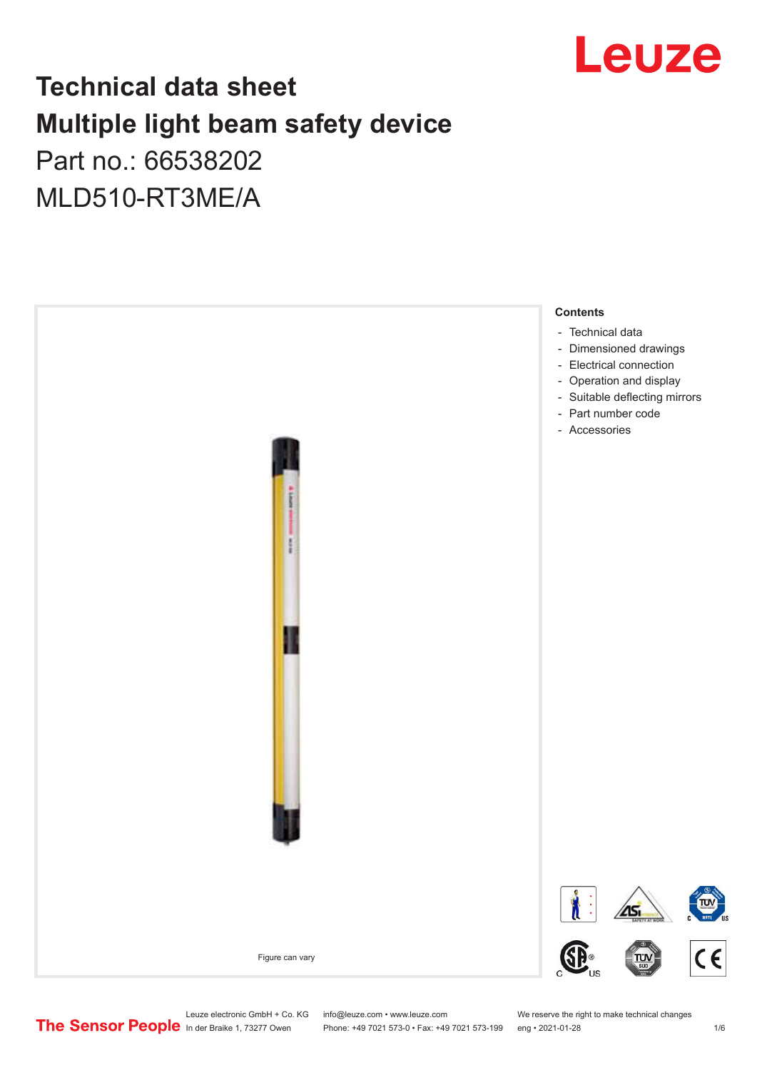

## **Technical data sheet Multiple light beam safety device**  Part no.: 66538202

# MLD510-RT3ME/A



Leuze electronic GmbH + Co. KG info@leuze.com • www.leuze.com We reserve the right to make technical changes<br>
The Sensor People in der Braike 1, 73277 Owen Phone: +49 7021 573-0 • Fax: +49 7021 573-199 eng • 2021-01-28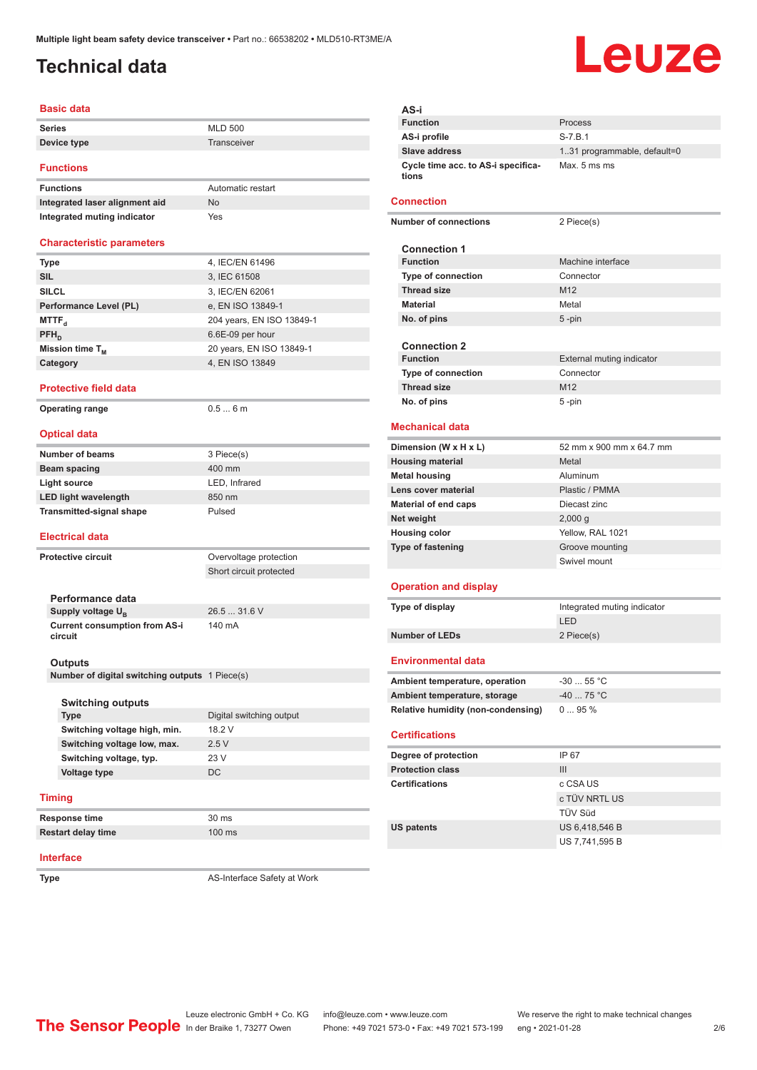## <span id="page-1-0"></span>**Technical data**

# Leuze

### **Basic data**

| <b>Series</b> | <b>MLD 500</b> |
|---------------|----------------|
| Device type   | Transceiver    |
|               |                |

### **Functions**

| <b>Functions</b>               | Automatic restart |
|--------------------------------|-------------------|
| Integrated laser alignment aid | <b>No</b>         |
| Integrated muting indicator    | Yes               |

### **Characteristic parameters**

| Type                   | 4, IEC/EN 61496           |
|------------------------|---------------------------|
| <b>SIL</b>             | 3, IEC 61508              |
| <b>SILCL</b>           | 3, IEC/EN 62061           |
| Performance Level (PL) | e, EN ISO 13849-1         |
| MTTF <sub>d</sub>      | 204 years, EN ISO 13849-1 |
| $PFH_n$                | 6.6E-09 per hour          |
| Mission time $T_{M}$   | 20 years, EN ISO 13849-1  |
| Category               | 4, EN ISO 13849           |

### **Protective field data**

**Operating range** 0.5 ... 6 m

### **Optical data**

| Number of beams                 | 3 Piece(s)    |
|---------------------------------|---------------|
| Beam spacing                    | 400 mm        |
| Light source                    | LED, Infrared |
| <b>LED light wavelength</b>     | 850 nm        |
| <b>Transmitted-signal shape</b> | Pulsed        |
|                                 |               |

### **Electrical data**

**Protective circuit COVER COVER COVER COVER COVER COVER COVER COVER COVER COVER COVER COVER COVER COVER COVER COVER COVER COVER COVER COVER COVER COVER COVER COVER COVER COVER COVER COVER COVER COVER COVER COVER COVER CO** 

Short circuit protected

140 mA

**Performance data Supply voltage U<sub>B</sub> Current consumption from AS-i circuit**

26.5 ... 31.6 V

### **Outputs**

**Number of digital switching outputs** 1 Piece(s)

### **Switching outputs**

| Type                         | Digital switching output |
|------------------------------|--------------------------|
| Switching voltage high, min. | 18.2 V                   |
| Switching voltage low, max.  | 2.5V                     |
| Switching voltage, typ.      | 23 V                     |
| Voltage type                 | DC                       |
|                              |                          |

### **Timing**

**Response time** 30 ms **Restart delay time** 100 ms

### **Interface**

**Type** AS-Interface Safety at Work

|                         | AS-i                                        |                              |
|-------------------------|---------------------------------------------|------------------------------|
|                         | <b>Function</b>                             | Process                      |
|                         | AS-i profile                                | $S - 7.B.1$                  |
|                         | <b>Slave address</b>                        | 1.31 programmable, default=0 |
|                         | Cycle time acc. to AS-i specifica-<br>tions | Max. 5 ms ms                 |
|                         | <b>Connection</b>                           |                              |
|                         | <b>Number of connections</b>                | 2 Piece(s)                   |
|                         | <b>Connection 1</b>                         |                              |
|                         | <b>Function</b>                             | Machine interface            |
|                         | <b>Type of connection</b>                   | Connector                    |
|                         | <b>Thread size</b>                          | M <sub>12</sub>              |
|                         | <b>Material</b>                             | Metal                        |
|                         | No. of pins                                 | $5 - pin$                    |
|                         |                                             |                              |
|                         | <b>Connection 2</b>                         |                              |
|                         | <b>Function</b>                             | External muting indicator    |
|                         | <b>Type of connection</b>                   | Connector                    |
|                         | <b>Thread size</b>                          | M <sub>12</sub>              |
|                         | No. of pins                                 | 5-pin                        |
|                         |                                             |                              |
|                         | <b>Mechanical data</b>                      |                              |
| Dimension (W x H x L)   |                                             | 52 mm x 900 mm x 64.7 mm     |
| <b>Housing material</b> |                                             | Metal                        |
| <b>Metal housing</b>    |                                             | Aluminum                     |
|                         | Lens cover material                         | Plastic / PMMA               |
|                         | <b>Material of end caps</b>                 | Diecast zinc                 |
|                         | Net weight                                  | 2,000q                       |
|                         | <b>Housing color</b>                        | Yellow, RAL 1021             |
|                         | <b>Type of fastening</b>                    | Groove mounting              |
|                         |                                             | Swivel mount                 |
|                         |                                             |                              |
|                         | <b>Operation and display</b>                |                              |
|                         | Type of display                             | Integrated muting indicator  |
|                         |                                             | LED                          |
|                         | <b>Number of LEDs</b>                       | 2 Piece(s)                   |
|                         | <b>Environmental data</b>                   |                              |
|                         | Ambient temperature, operation              | $-3055$ °C                   |
|                         | Ambient temperature, storage                | -40  75 °C                   |
|                         | <b>Relative humidity (non-condensing)</b>   | 095%                         |
|                         |                                             |                              |
|                         | <b>Certifications</b>                       |                              |
|                         | Degree of protection                        | IP 67                        |
|                         | <b>Protection class</b>                     | III                          |
|                         | <b>Certifications</b>                       | c CSA US                     |
|                         |                                             | c TÜV NRTL US                |

TÜV Süd

US 7,741,595 B

**US patents** US 6,418,546 B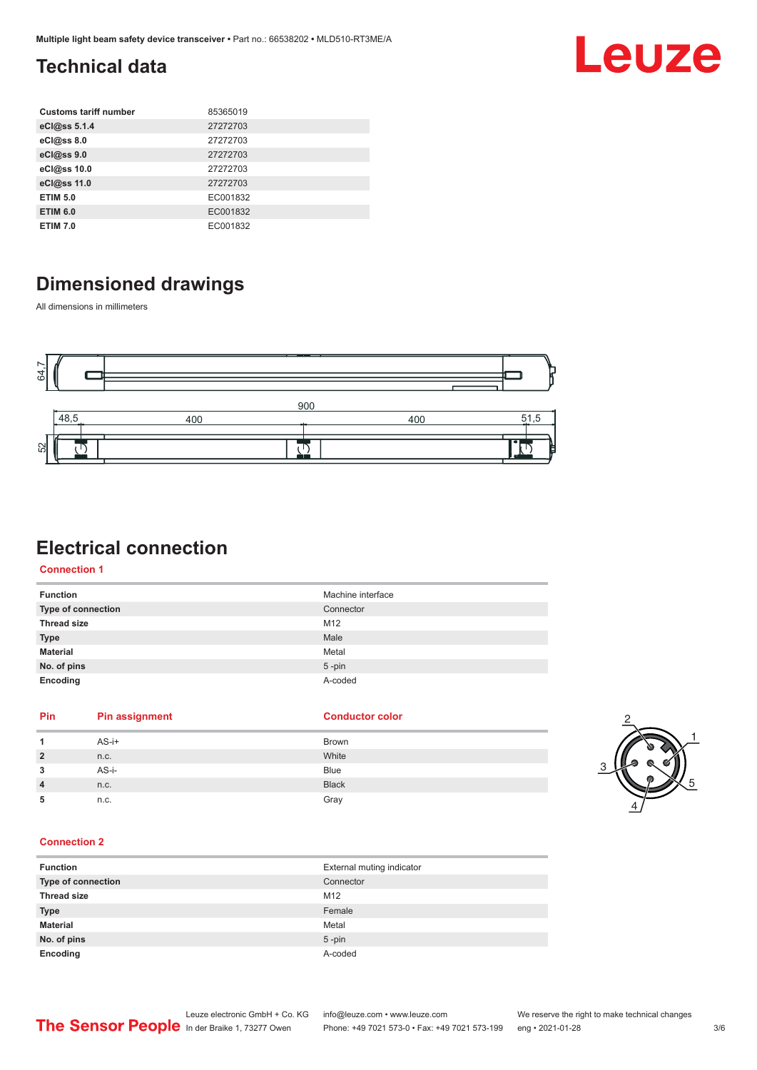## <span id="page-2-0"></span>**Technical data**

| <b>Customs tariff number</b> | 85365019 |
|------------------------------|----------|
| eCl@ss 5.1.4                 | 27272703 |
| eCl@ss 8.0                   | 27272703 |
| eCl@ss 9.0                   | 27272703 |
| eCl@ss 10.0                  | 27272703 |
| eCl@ss 11.0                  | 27272703 |
| <b>ETIM 5.0</b>              | EC001832 |
| <b>ETIM 6.0</b>              | EC001832 |
| <b>ETIM 7.0</b>              | EC001832 |

## **Dimensioned drawings**

All dimensions in millimeters



## **Electrical connection**

**Connection 1**

| <b>Function</b>    | Machine interface |
|--------------------|-------------------|
| Type of connection | Connector         |
| <b>Thread size</b> | M12               |
| <b>Type</b>        | Male              |
| <b>Material</b>    | Metal             |
| No. of pins        | $5$ -pin          |
| Encoding           | A-coded           |

**Pin Pin assignment Conductor Conductor Color** 

|                | $AS-i+$ | Brown        |
|----------------|---------|--------------|
| $\overline{2}$ | n.c.    | White        |
| 3              | AS-i-   | <b>Blue</b>  |
| 4              | n.c.    | <b>Black</b> |
| 5              | n.c.    | Gray         |



Leuze

### **Connection 2**

| <b>Function</b>    | External muting indicator |
|--------------------|---------------------------|
| Type of connection | Connector                 |
| <b>Thread size</b> | M12                       |
| <b>Type</b>        | Female                    |
| <b>Material</b>    | Metal                     |
| No. of pins        | $5$ -pin                  |
| Encoding           | A-coded                   |

Leuze electronic GmbH + Co. KG info@leuze.com • www.leuze.com We reserve the right to make technical changes<br>
The Sensor People in der Braike 1, 73277 Owen Phone: +49 7021 573-0 • Fax: +49 7021 573-199 eng • 2021-01-28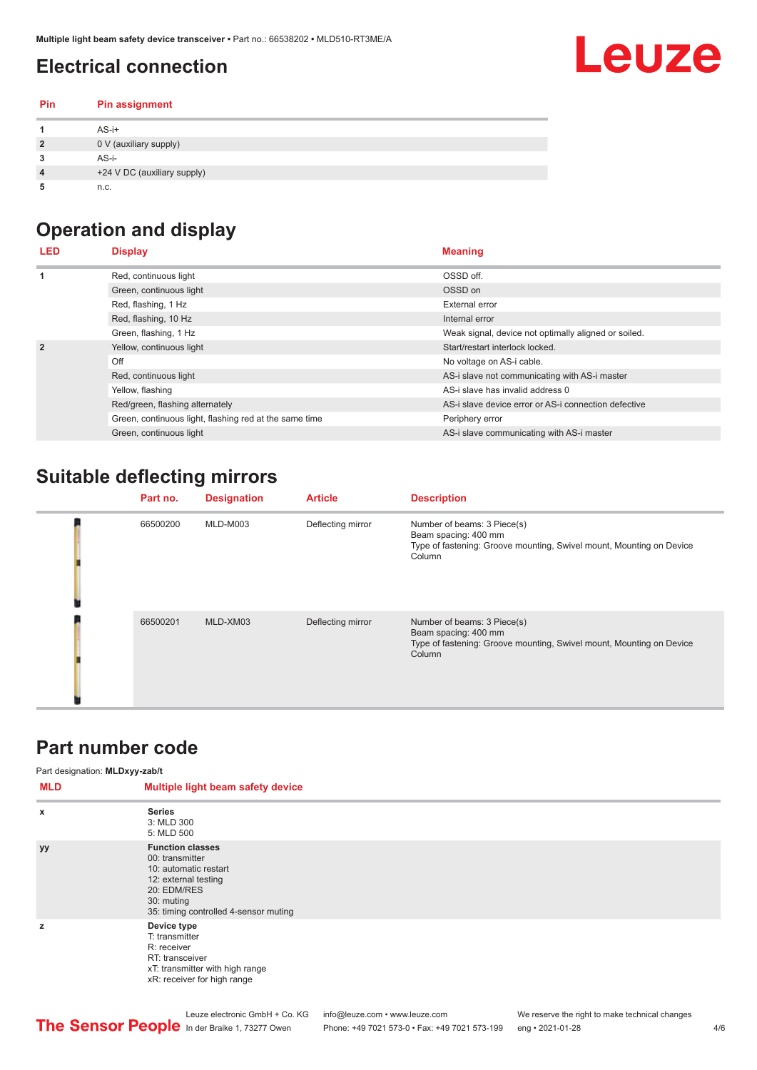## <span id="page-3-0"></span>**Electrical connection**

# **Leuze**

| <b>Pin</b>     | <b>Pin assignment</b>       |
|----------------|-----------------------------|
|                | $AS-i+$                     |
| $\overline{2}$ | 0 V (auxiliary supply)      |
| 3              | $AS-i-$                     |
| 4              | +24 V DC (auxiliary supply) |
| 5              | n.c.                        |

## **Operation and display**

| LED            | <b>Display</b>                                         | <b>Meaning</b>                                       |
|----------------|--------------------------------------------------------|------------------------------------------------------|
|                | Red, continuous light                                  | OSSD off.                                            |
|                | Green, continuous light                                | OSSD on                                              |
|                | Red, flashing, 1 Hz                                    | External error                                       |
|                | Red, flashing, 10 Hz                                   | Internal error                                       |
|                | Green, flashing, 1 Hz                                  | Weak signal, device not optimally aligned or soiled. |
| $\overline{2}$ | Yellow, continuous light                               | Start/restart interlock locked.                      |
|                | Off                                                    | No voltage on AS-i cable.                            |
|                | Red, continuous light                                  | AS-i slave not communicating with AS-i master        |
|                | Yellow, flashing                                       | AS-i slave has invalid address 0                     |
|                | Red/green, flashing alternately                        | AS-i slave device error or AS-i connection defective |
|                | Green, continuous light, flashing red at the same time | Periphery error                                      |
|                | Green, continuous light                                | AS-i slave communicating with AS-i master            |

## **Suitable deflecting mirrors**

| Part no. | <b>Designation</b> | <b>Article</b>    | <b>Description</b>                                                                                                                    |
|----------|--------------------|-------------------|---------------------------------------------------------------------------------------------------------------------------------------|
| 66500200 | MLD-M003           | Deflecting mirror | Number of beams: 3 Piece(s)<br>Beam spacing: 400 mm<br>Type of fastening: Groove mounting, Swivel mount, Mounting on Device<br>Column |
| 66500201 | MLD-XM03           | Deflecting mirror | Number of beams: 3 Piece(s)<br>Beam spacing: 400 mm<br>Type of fastening: Groove mounting, Swivel mount, Mounting on Device<br>Column |

## **Part number code**

Part designation: **MLDxyy-zab/t**

| MLD       | Multiple light beam safety device                                                                                                                                 |
|-----------|-------------------------------------------------------------------------------------------------------------------------------------------------------------------|
| x         | <b>Series</b><br>3: MLD 300<br>5: MLD 500                                                                                                                         |
| <b>yy</b> | <b>Function classes</b><br>00: transmitter<br>10: automatic restart<br>12: external testing<br>20: EDM/RES<br>30: muting<br>35: timing controlled 4-sensor muting |
| z         | Device type<br>T: transmitter<br>R: receiver<br>RT: transceiver<br>xT: transmitter with high range<br>xR: receiver for high range                                 |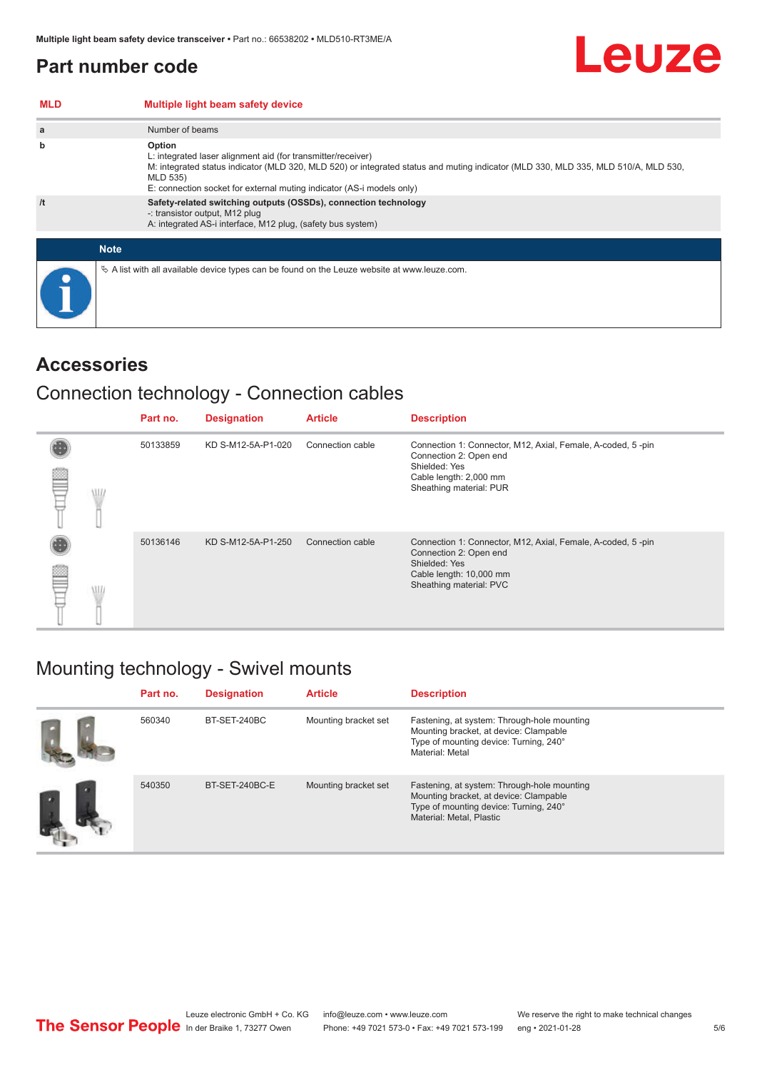**MLD Multiple light beam safety device**

## <span id="page-4-0"></span>**Part number code**

| a           | Number of beams                                                                                                                                                                                                                                                                                   |
|-------------|---------------------------------------------------------------------------------------------------------------------------------------------------------------------------------------------------------------------------------------------------------------------------------------------------|
| b           | Option<br>L: integrated laser alignment aid (for transmitter/receiver)<br>M: integrated status indicator (MLD 320, MLD 520) or integrated status and muting indicator (MLD 330, MLD 335, MLD 510/A, MLD 530,<br>MLD 535)<br>E: connection socket for external muting indicator (AS-i models only) |
| /t          | Safety-related switching outputs (OSSDs), connection technology<br>-: transistor output, M12 plug<br>A: integrated AS-i interface, M12 plug, (safety bus system)                                                                                                                                  |
| <b>Note</b> |                                                                                                                                                                                                                                                                                                   |
|             | $\&$ A list with all available device types can be found on the Leuze website at www.leuze.com.                                                                                                                                                                                                   |

### **Accessories**

## Connection technology - Connection cables

|   |      | Part no. | <b>Designation</b> | <b>Article</b>   | <b>Description</b>                                                                                                                                           |
|---|------|----------|--------------------|------------------|--------------------------------------------------------------------------------------------------------------------------------------------------------------|
| ▩ | VII. | 50133859 | KD S-M12-5A-P1-020 | Connection cable | Connection 1: Connector, M12, Axial, Female, A-coded, 5-pin<br>Connection 2: Open end<br>Shielded: Yes<br>Cable length: 2,000 mm<br>Sheathing material: PUR  |
| ≝ |      | 50136146 | KD S-M12-5A-P1-250 | Connection cable | Connection 1: Connector, M12, Axial, Female, A-coded, 5-pin<br>Connection 2: Open end<br>Shielded: Yes<br>Cable length: 10,000 mm<br>Sheathing material: PVC |

## Mounting technology - Swivel mounts

| Part no. | <b>Designation</b> | <b>Article</b>       | <b>Description</b>                                                                                                                                          |
|----------|--------------------|----------------------|-------------------------------------------------------------------------------------------------------------------------------------------------------------|
| 560340   | BT-SET-240BC       | Mounting bracket set | Fastening, at system: Through-hole mounting<br>Mounting bracket, at device: Clampable<br>Type of mounting device: Turning, 240°<br>Material: Metal          |
| 540350   | BT-SET-240BC-E     | Mounting bracket set | Fastening, at system: Through-hole mounting<br>Mounting bracket, at device: Clampable<br>Type of mounting device: Turning, 240°<br>Material: Metal, Plastic |